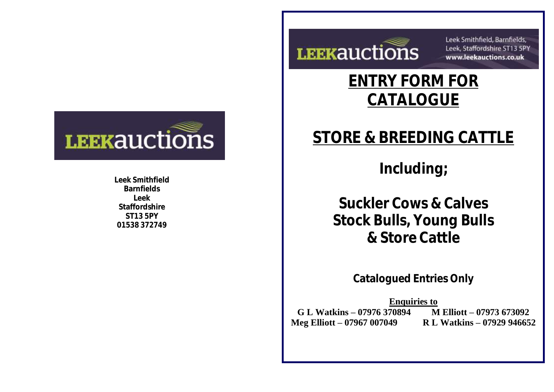

**Leek Smithfield Barnfields Leek Staffordshire ST13 5PY 01538 372749**



Leek Smithfield, Barnfields, Leek, Staffordshire ST13 5PY www.leekauctions.co.uk

## <u>ENTI UNWITU</u><br>CATALOCHE **ENTRY FORM FOR CATALOGUE**

## **Suckler Cows & Calves BINCED II TO STORE & BREEDING CATTLE**

**Bred In Including**;

**Suckler Cows & Calves Stock Bulls, Young Bulls & Store Cattle**

**Catalogued Entries Only**

**R** L Watkins – 07929 946652 **Enquiries to G L Watkins – 07976 370894 M Elliott – 07973 673092 Meg Elliott – 07967 007049**